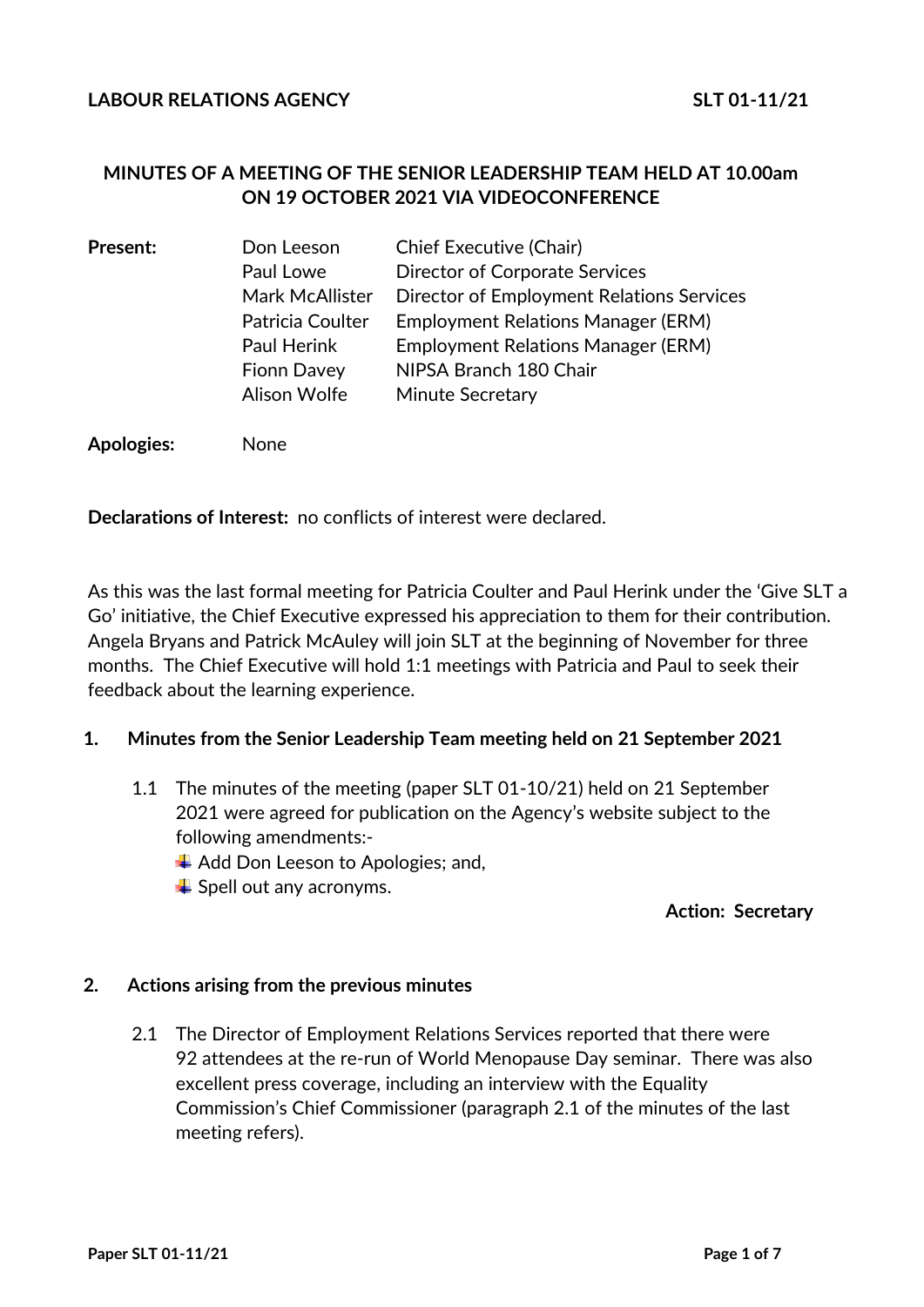# **MINUTES OF A MEETING OF THE SENIOR LEADERSHIP TEAM HELD AT 10.00am ON 19 OCTOBER 2021 VIA VIDEOCONFERENCE**

| <b>Present:</b> | Don Leeson             | <b>Chief Executive (Chair)</b>                   |
|-----------------|------------------------|--------------------------------------------------|
|                 | Paul Lowe              | <b>Director of Corporate Services</b>            |
|                 | <b>Mark McAllister</b> | <b>Director of Employment Relations Services</b> |
|                 | Patricia Coulter       | <b>Employment Relations Manager (ERM)</b>        |
|                 | <b>Paul Herink</b>     | <b>Employment Relations Manager (ERM)</b>        |
|                 | <b>Fionn Davey</b>     | NIPSA Branch 180 Chair                           |
|                 | Alison Wolfe           | Minute Secretary                                 |
|                 |                        |                                                  |

**Apologies:** None

**Declarations of Interest:** no conflicts of interest were declared.

As this was the last formal meeting for Patricia Coulter and Paul Herink under the 'Give SLT a Go' initiative, the Chief Executive expressed his appreciation to them for their contribution. Angela Bryans and Patrick McAuley will join SLT at the beginning of November for three months. The Chief Executive will hold 1:1 meetings with Patricia and Paul to seek their feedback about the learning experience.

### **1. Minutes from the Senior Leadership Team meeting held on 21 September 2021**

- 1.1 The minutes of the meeting (paper SLT 01-10/21) held on 21 September 2021 were agreed for publication on the Agency's website subject to the following amendments:-
	- $\overline{\phantom{a}}$  Add Don Leeson to Apologies; and,
	- $\downarrow$  Spell out any acronyms.

#### **Action: Secretary**

#### **2. Actions arising from the previous minutes**

2.1 The Director of Employment Relations Services reported that there were 92 attendees at the re-run of World Menopause Day seminar. There was also excellent press coverage, including an interview with the Equality Commission's Chief Commissioner (paragraph 2.1 of the minutes of the last meeting refers).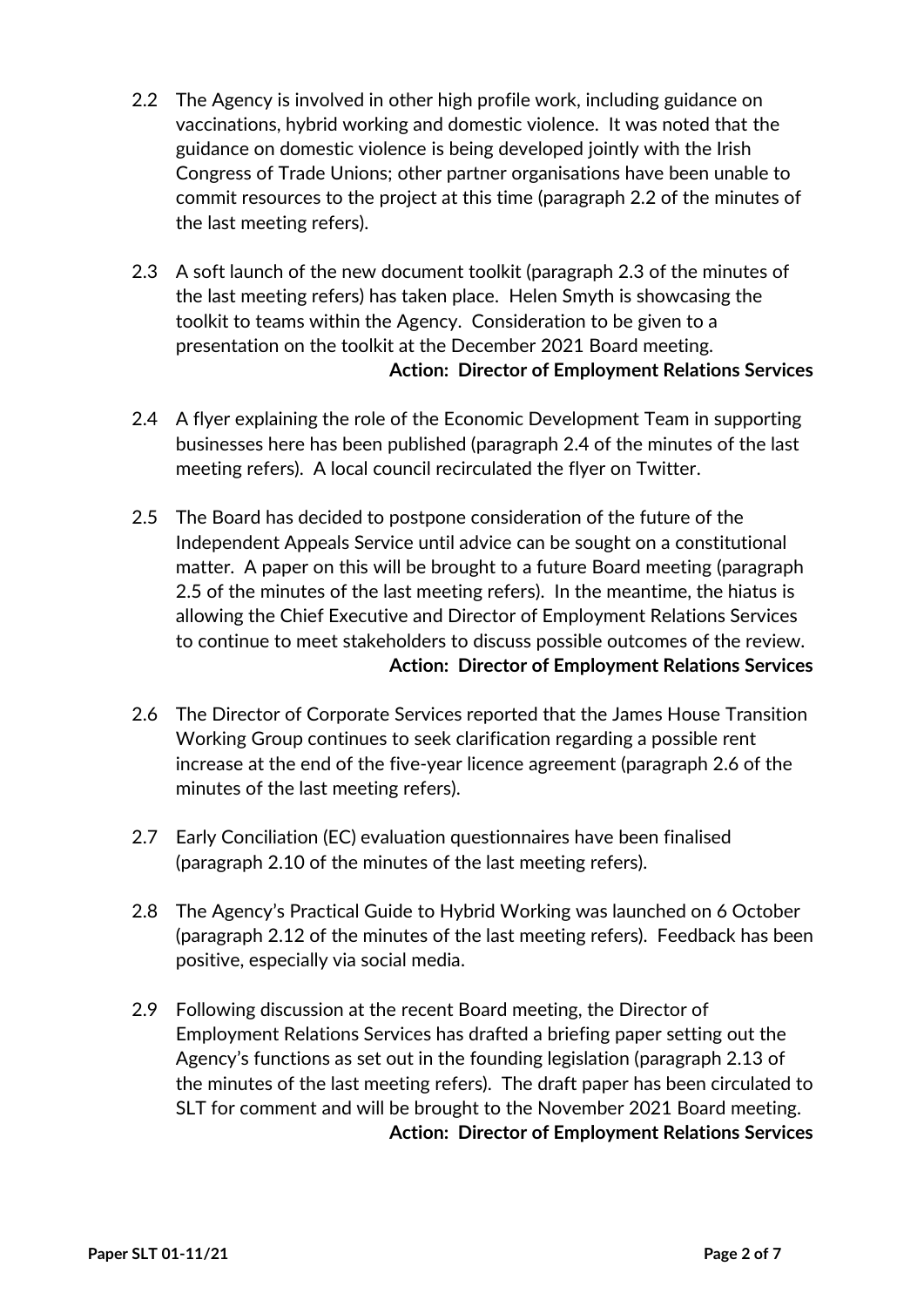- 2.2 The Agency is involved in other high profile work, including guidance on vaccinations, hybrid working and domestic violence. It was noted that the guidance on domestic violence is being developed jointly with the Irish Congress of Trade Unions; other partner organisations have been unable to commit resources to the project at this time (paragraph 2.2 of the minutes of the last meeting refers).
- 2.3 A soft launch of the new document toolkit (paragraph 2.3 of the minutes of the last meeting refers) has taken place. Helen Smyth is showcasing the toolkit to teams within the Agency. Consideration to be given to a presentation on the toolkit at the December 2021 Board meeting. **Action: Director of Employment Relations Services**
- 2.4 A flyer explaining the role of the Economic Development Team in supporting businesses here has been published (paragraph 2.4 of the minutes of the last meeting refers). A local council recirculated the flyer on Twitter.
- 2.5 The Board has decided to postpone consideration of the future of the Independent Appeals Service until advice can be sought on a constitutional matter. A paper on this will be brought to a future Board meeting (paragraph 2.5 of the minutes of the last meeting refers). In the meantime, the hiatus is allowing the Chief Executive and Director of Employment Relations Services to continue to meet stakeholders to discuss possible outcomes of the review. **Action: Director of Employment Relations Services**
- 2.6 The Director of Corporate Services reported that the James House Transition Working Group continues to seek clarification regarding a possible rent increase at the end of the five-year licence agreement (paragraph 2.6 of the minutes of the last meeting refers).
- 2.7 Early Conciliation (EC) evaluation questionnaires have been finalised (paragraph 2.10 of the minutes of the last meeting refers).
- 2.8 The Agency's Practical Guide to Hybrid Working was launched on 6 October (paragraph 2.12 of the minutes of the last meeting refers). Feedback has been positive, especially via social media.
- 2.9 Following discussion at the recent Board meeting, the Director of Employment Relations Services has drafted a briefing paper setting out the Agency's functions as set out in the founding legislation (paragraph 2.13 of the minutes of the last meeting refers). The draft paper has been circulated to SLT for comment and will be brought to the November 2021 Board meeting. **Action: Director of Employment Relations Services**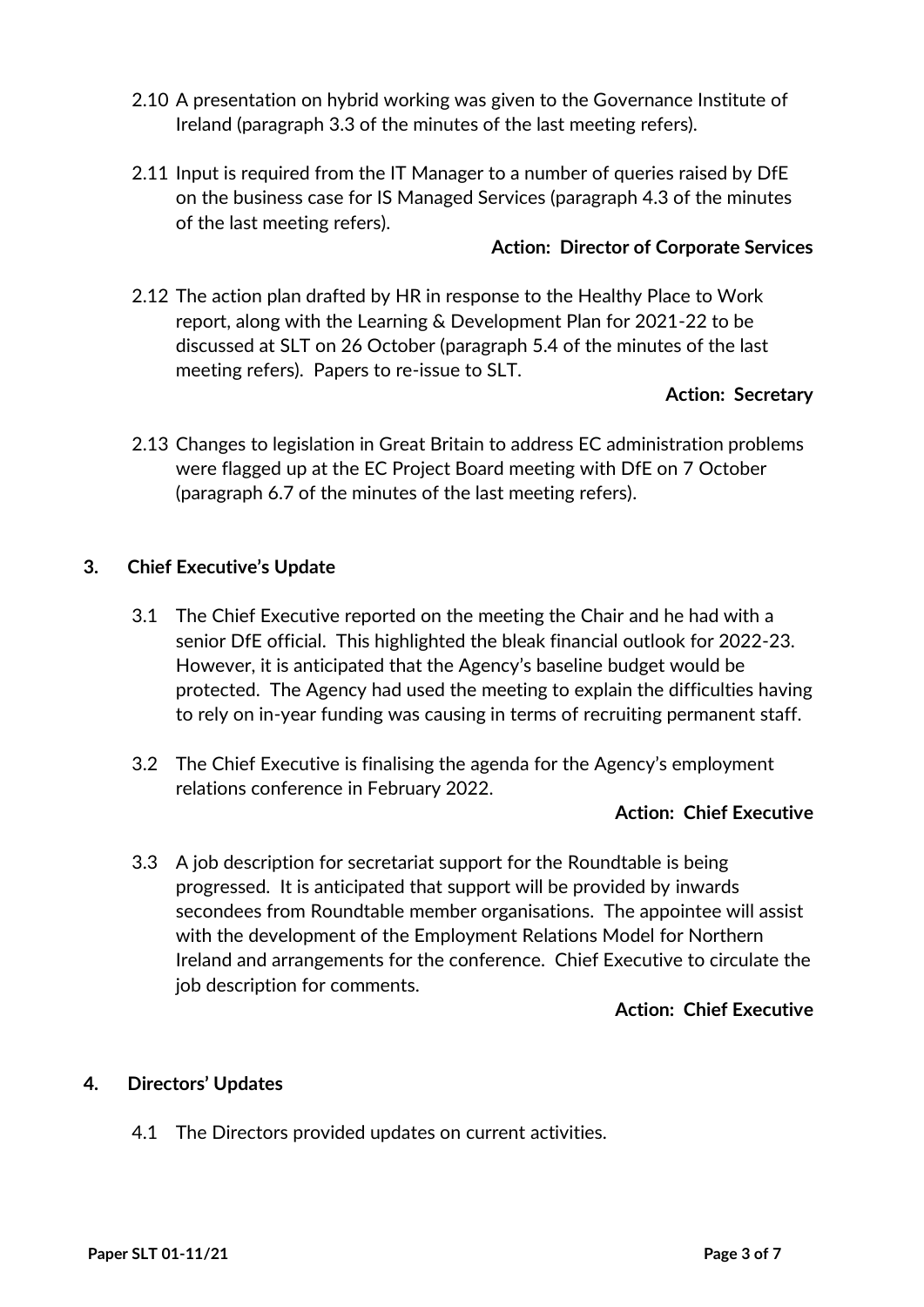- 2.10 A presentation on hybrid working was given to the Governance Institute of Ireland (paragraph 3.3 of the minutes of the last meeting refers).
- 2.11 Input is required from the IT Manager to a number of queries raised by DfE on the business case for IS Managed Services (paragraph 4.3 of the minutes of the last meeting refers).

### **Action: Director of Corporate Services**

2.12 The action plan drafted by HR in response to the Healthy Place to Work report, along with the Learning & Development Plan for 2021-22 to be discussed at SLT on 26 October (paragraph 5.4 of the minutes of the last meeting refers). Papers to re-issue to SLT.

# **Action: Secretary**

2.13 Changes to legislation in Great Britain to address EC administration problems were flagged up at the EC Project Board meeting with DfE on 7 October (paragraph 6.7 of the minutes of the last meeting refers).

### **3. Chief Executive's Update**

- 3.1 The Chief Executive reported on the meeting the Chair and he had with a senior DfE official. This highlighted the bleak financial outlook for 2022-23. However, it is anticipated that the Agency's baseline budget would be protected. The Agency had used the meeting to explain the difficulties having to rely on in-year funding was causing in terms of recruiting permanent staff.
- 3.2 The Chief Executive is finalising the agenda for the Agency's employment relations conference in February 2022.

### **Action: Chief Executive**

3.3 A job description for secretariat support for the Roundtable is being progressed. It is anticipated that support will be provided by inwards secondees from Roundtable member organisations. The appointee will assist with the development of the Employment Relations Model for Northern Ireland and arrangements for the conference. Chief Executive to circulate the job description for comments.

### **Action: Chief Executive**

# **4. Directors' Updates**

4.1 The Directors provided updates on current activities.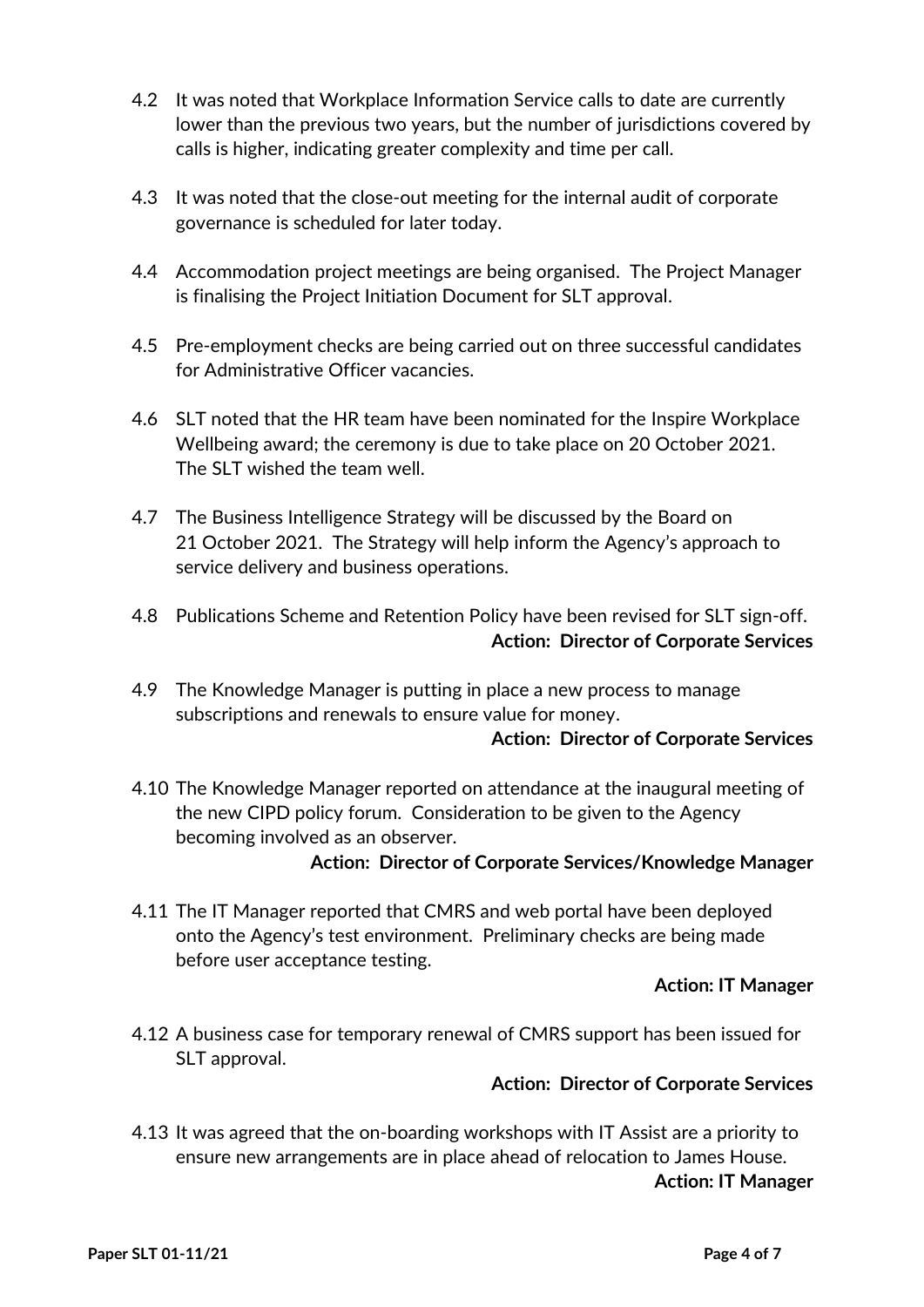- 4.2 It was noted that Workplace Information Service calls to date are currently lower than the previous two years, but the number of jurisdictions covered by calls is higher, indicating greater complexity and time per call.
- 4.3 It was noted that the close-out meeting for the internal audit of corporate governance is scheduled for later today.
- 4.4 Accommodation project meetings are being organised. The Project Manager is finalising the Project Initiation Document for SLT approval.
- 4.5 Pre-employment checks are being carried out on three successful candidates for Administrative Officer vacancies.
- 4.6 SLT noted that the HR team have been nominated for the Inspire Workplace Wellbeing award; the ceremony is due to take place on 20 October 2021. The SLT wished the team well.
- 4.7 The Business Intelligence Strategy will be discussed by the Board on 21 October 2021. The Strategy will help inform the Agency's approach to service delivery and business operations.
- 4.8 Publications Scheme and Retention Policy have been revised for SLT sign-off. **Action: Director of Corporate Services**
- 4.9 The Knowledge Manager is putting in place a new process to manage subscriptions and renewals to ensure value for money.

### **Action: Director of Corporate Services**

4.10 The Knowledge Manager reported on attendance at the inaugural meeting of the new CIPD policy forum. Consideration to be given to the Agency becoming involved as an observer.

### **Action: Director of Corporate Services/Knowledge Manager**

4.11 The IT Manager reported that CMRS and web portal have been deployed onto the Agency's test environment. Preliminary checks are being made before user acceptance testing.

# **Action: IT Manager**

4.12 A business case for temporary renewal of CMRS support has been issued for SLT approval.

# **Action: Director of Corporate Services**

4.13 It was agreed that the on-boarding workshops with IT Assist are a priority to ensure new arrangements are in place ahead of relocation to James House. **Action: IT Manager**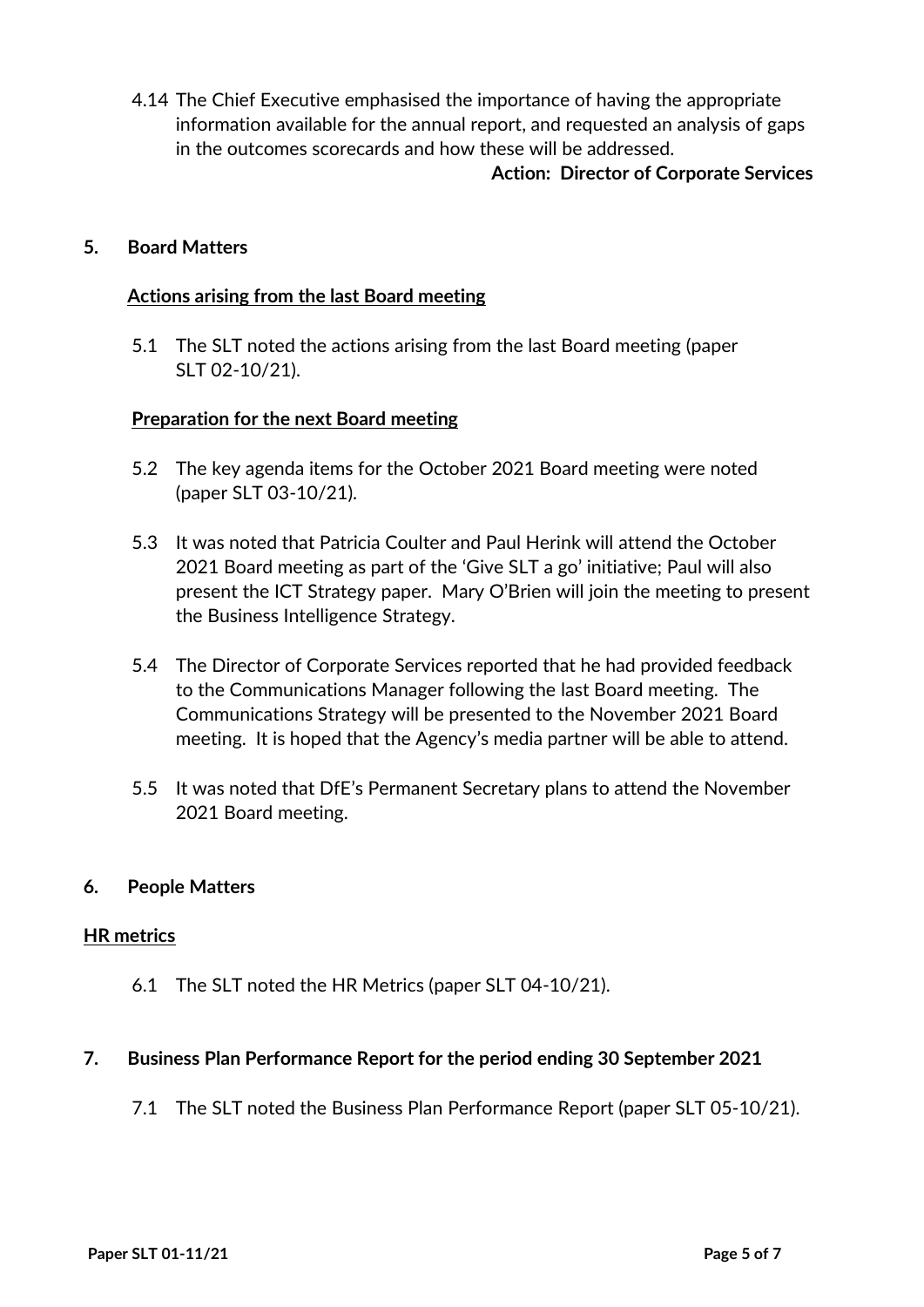4.14 The Chief Executive emphasised the importance of having the appropriate information available for the annual report, and requested an analysis of gaps in the outcomes scorecards and how these will be addressed.

### **Action: Director of Corporate Services**

### **5. Board Matters**

### **Actions arising from the last Board meeting**

5.1 The SLT noted the actions arising from the last Board meeting (paper SLT 02-10/21).

#### **Preparation for the next Board meeting**

- 5.2 The key agenda items for the October 2021 Board meeting were noted (paper SLT 03-10/21).
- 5.3 It was noted that Patricia Coulter and Paul Herink will attend the October 2021 Board meeting as part of the 'Give SLT a go' initiative; Paul will also present the ICT Strategy paper. Mary O'Brien will join the meeting to present the Business Intelligence Strategy.
- 5.4 The Director of Corporate Services reported that he had provided feedback to the Communications Manager following the last Board meeting. The Communications Strategy will be presented to the November 2021 Board meeting. It is hoped that the Agency's media partner will be able to attend.
- 5.5 It was noted that DfE's Permanent Secretary plans to attend the November 2021 Board meeting.

### **6. People Matters**

### **HR metrics**

6.1 The SLT noted the HR Metrics (paper SLT 04-10/21).

### **7. Business Plan Performance Report for the period ending 30 September 2021**

7.1 The SLT noted the Business Plan Performance Report (paper SLT 05-10/21).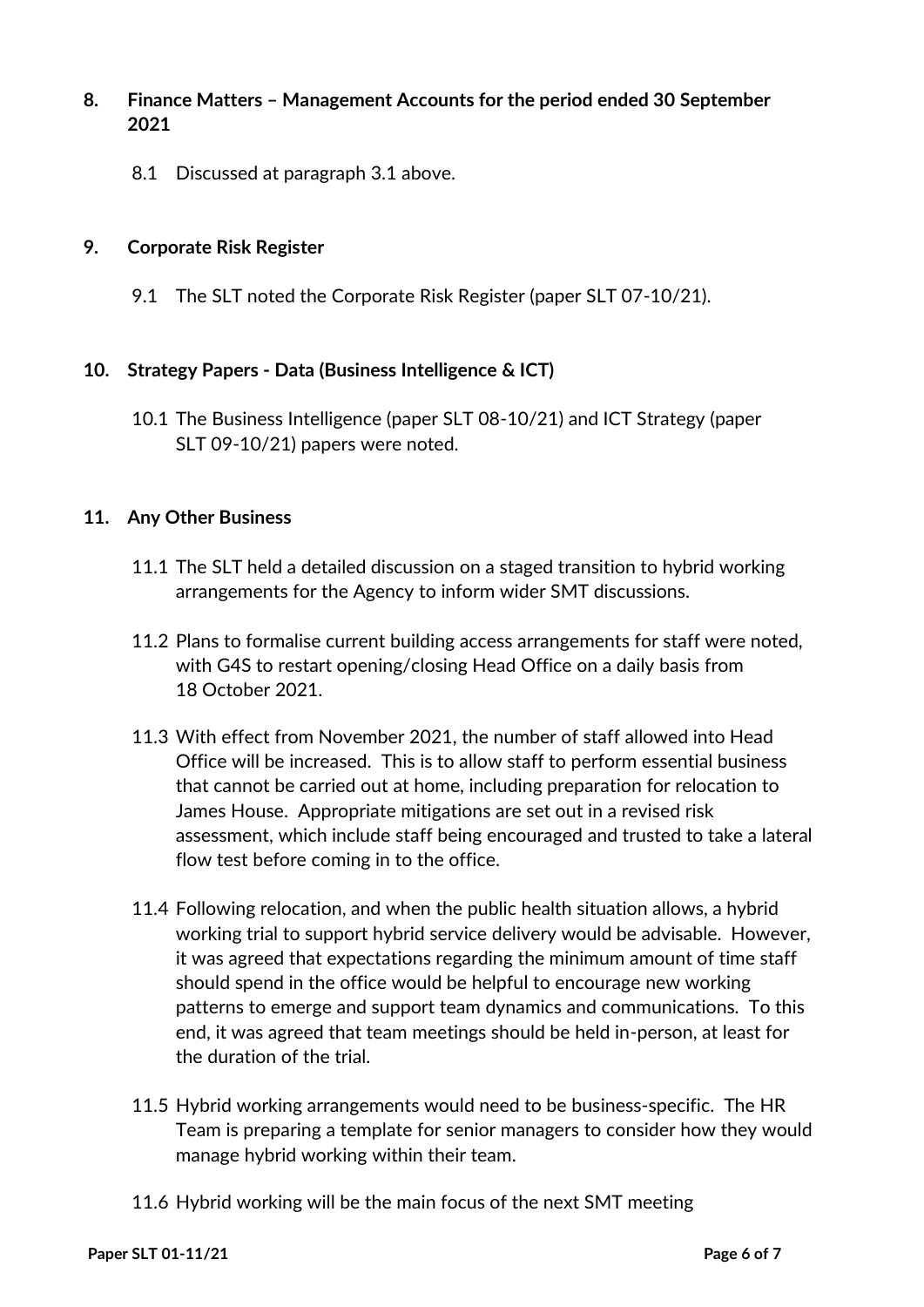# **8. Finance Matters – Management Accounts for the period ended 30 September 2021**

8.1 Discussed at paragraph 3.1 above.

### **9. Corporate Risk Register**

9.1 The SLT noted the Corporate Risk Register (paper SLT 07-10/21).

### **10. Strategy Papers - Data (Business Intelligence & ICT)**

10.1 The Business Intelligence (paper SLT 08-10/21) and ICT Strategy (paper SLT 09-10/21) papers were noted.

### **11. Any Other Business**

- 11.1 The SLT held a detailed discussion on a staged transition to hybrid working arrangements for the Agency to inform wider SMT discussions.
- 11.2 Plans to formalise current building access arrangements for staff were noted, with G4S to restart opening/closing Head Office on a daily basis from 18 October 2021.
- 11.3 With effect from November 2021, the number of staff allowed into Head Office will be increased. This is to allow staff to perform essential business that cannot be carried out at home, including preparation for relocation to James House. Appropriate mitigations are set out in a revised risk assessment, which include staff being encouraged and trusted to take a lateral flow test before coming in to the office.
- 11.4 Following relocation, and when the public health situation allows, a hybrid working trial to support hybrid service delivery would be advisable. However, it was agreed that expectations regarding the minimum amount of time staff should spend in the office would be helpful to encourage new working patterns to emerge and support team dynamics and communications. To this end, it was agreed that team meetings should be held in-person, at least for the duration of the trial.
- 11.5 Hybrid working arrangements would need to be business-specific. The HR Team is preparing a template for senior managers to consider how they would manage hybrid working within their team.
- 11.6 Hybrid working will be the main focus of the next SMT meeting